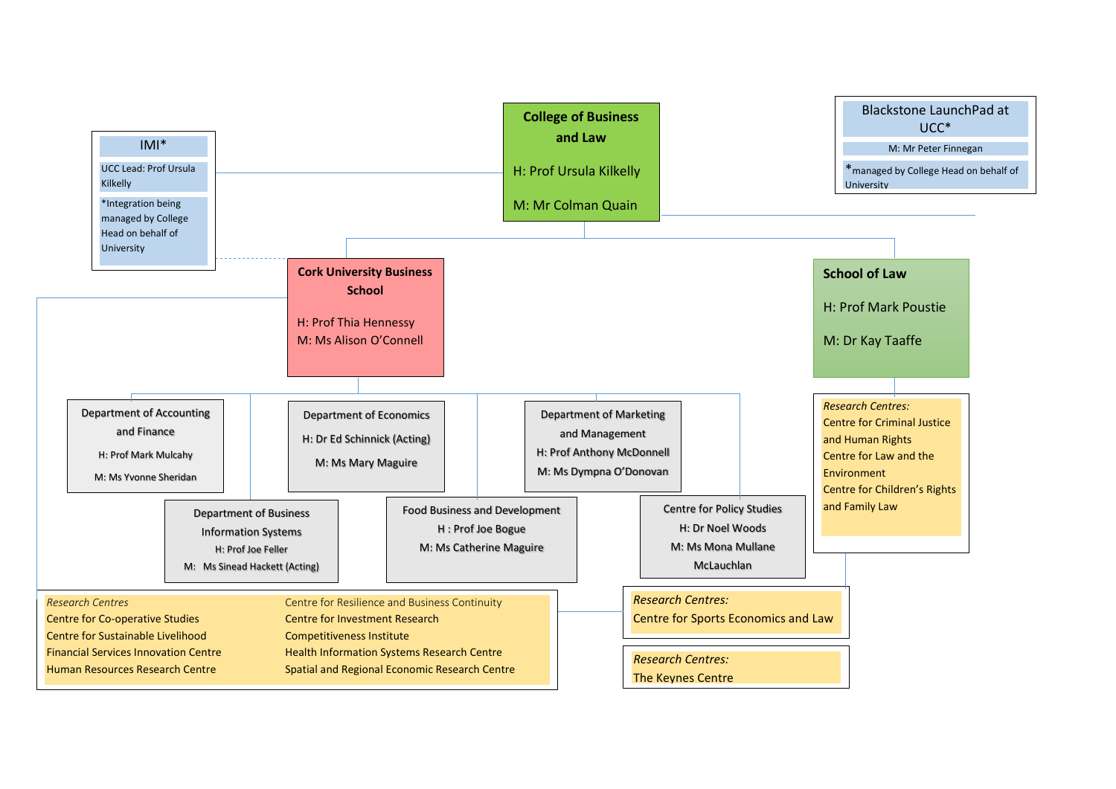